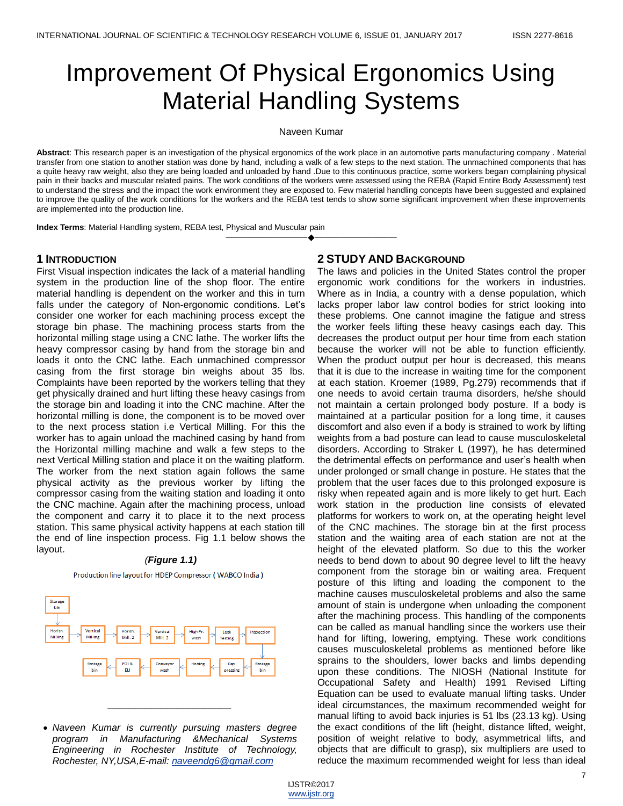# Improvement Of Physical Ergonomics Using Material Handling Systems

Naveen Kumar

**Abstract**: This research paper is an investigation of the physical ergonomics of the work place in an automotive parts manufacturing company . Material transfer from one station to another station was done by hand, including a walk of a few steps to the next station. The unmachined components that has a quite heavy raw weight, also they are being loaded and unloaded by hand .Due to this continuous practice, some workers began complaining physical pain in their backs and muscular related pains. The work conditions of the workers were assessed using the REBA (Rapid Entire Body Assessment) test to understand the stress and the impact the work environment they are exposed to. Few material handling concepts have been suggested and explained to improve the quality of the work conditions for the workers and the REBA test tends to show some significant improvement when these improvements are implemented into the production line.

————————————————————

**Index Terms**: Material Handling system, REBA test, Physical and Muscular pain

## **1 INTRODUCTION**

First Visual inspection indicates the lack of a material handling system in the production line of the shop floor. The entire material handling is dependent on the worker and this in turn falls under the category of Non-ergonomic conditions. Let's consider one worker for each machining process except the storage bin phase. The machining process starts from the horizontal milling stage using a CNC lathe. The worker lifts the heavy compressor casing by hand from the storage bin and loads it onto the CNC lathe. Each unmachined compressor casing from the first storage bin weighs about 35 lbs. Complaints have been reported by the workers telling that they get physically drained and hurt lifting these heavy casings from the storage bin and loading it into the CNC machine. After the horizontal milling is done, the component is to be moved over to the next process station i.e Vertical Milling. For this the worker has to again unload the machined casing by hand from the Horizontal milling machine and walk a few steps to the next Vertical Milling station and place it on the waiting platform. The worker from the next station again follows the same physical activity as the previous worker by lifting the compressor casing from the waiting station and loading it onto the CNC machine. Again after the machining process, unload the component and carry it to place it to the next process station. This same physical activity happens at each station till the end of line inspection process. Fig 1.1 below shows the layout.

## *(Figure 1.1)*

Production line layout for HDEP Compressor (WABCO India)



 *Naveen Kumar is currently pursuing masters degree program in Manufacturing &Mechanical Systems Engineering in Rochester Institute of Technology, Rochester, NY,USA,E-mail: [naveendg6@gmail.com](mailto:naveendg6@gmail.com)*

*\_\_\_\_\_\_\_\_\_\_\_\_\_\_\_\_\_\_\_\_\_\_\_*

# **2 STUDY AND BACKGROUND**

The laws and policies in the United States control the proper ergonomic work conditions for the workers in industries. Where as in India, a country with a dense population, which lacks proper labor law control bodies for strict looking into these problems. One cannot imagine the fatigue and stress the worker feels lifting these heavy casings each day. This decreases the product output per hour time from each station because the worker will not be able to function efficiently. When the product output per hour is decreased, this means that it is due to the increase in waiting time for the component at each station. Kroemer (1989, Pg.279) recommends that if one needs to avoid certain trauma disorders, he/she should not maintain a certain prolonged body posture. If a body is maintained at a particular position for a long time, it causes discomfort and also even if a body is strained to work by lifting weights from a bad posture can lead to cause musculoskeletal disorders. According to Straker L (1997), he has determined the detrimental effects on performance and user's health when under prolonged or small change in posture. He states that the problem that the user faces due to this prolonged exposure is risky when repeated again and is more likely to get hurt. Each work station in the production line consists of elevated platforms for workers to work on, at the operating height level of the CNC machines. The storage bin at the first process station and the waiting area of each station are not at the height of the elevated platform. So due to this the worker needs to bend down to about 90 degree level to lift the heavy component from the storage bin or waiting area. Frequent posture of this lifting and loading the component to the machine causes musculoskeletal problems and also the same amount of stain is undergone when unloading the component after the machining process. This handling of the components can be called as manual handling since the workers use their hand for lifting, lowering, emptying. These work conditions causes musculoskeletal problems as mentioned before like sprains to the shoulders, lower backs and limbs depending upon these conditions. The NIOSH (National Institute for Occupational Safety and Health) 1991 Revised Lifting Equation can be used to evaluate manual lifting tasks. Under ideal circumstances, the maximum recommended weight for manual lifting to avoid back injuries is 51 lbs (23.13 kg). Using the exact conditions of the lift (height, distance lifted, weight, position of weight relative to body, asymmetrical lifts, and objects that are difficult to grasp), six multipliers are used to reduce the maximum recommended weight for less than ideal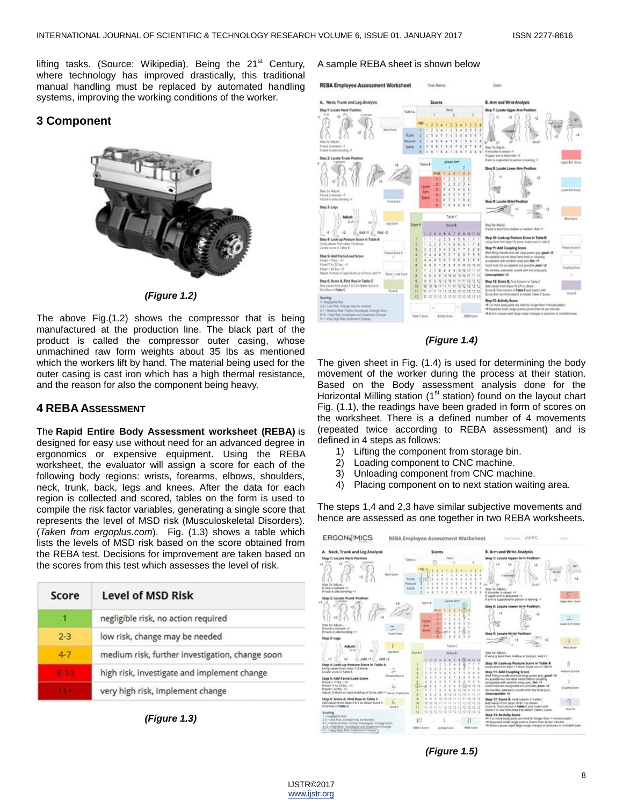lifting tasks. (Source: Wikipedia). Being the 21<sup>st</sup> Century, where technology has improved drastically, this traditional manual handling must be replaced by automated handling systems, improving the working conditions of the worker.

# **3 Component**



*(Figure 1.2)*

The above Fig.(1.2) shows the compressor that is being manufactured at the production line. The black part of the product is called the compressor outer casing, whose unmachined raw form weights about 35 lbs as mentioned which the workers lift by hand. The material being used for the outer casing is cast iron which has a high thermal resistance, and the reason for also the component being heavy.

## **4 REBA ASSESSMENT**

The **Rapid Entire Body Assessment worksheet (REBA)** is designed for easy use without need for an advanced degree in ergonomics or expensive equipment. Using the REBA worksheet, the evaluator will assign a score for each of the following body regions: wrists, forearms, elbows, shoulders, neck, trunk, back, legs and knees. After the data for each region is collected and scored, tables on the form is used to compile the risk factor variables, generating a single score that represents the level of MSD risk (Musculoskeletal Disorders). (*Taken from ergoplus.com*). Fig. (1.3) shows a table which lists the levels of MSD risk based on the score obtained from the REBA test. Decisions for improvement are taken based on the scores from this test which assesses the level of risk.

| Score    | <b>Level of MSD Risk</b>                        |
|----------|-------------------------------------------------|
|          | negligible risk, no action required             |
| $2 - 3$  | low risk, change may be needed                  |
| $4 - 7$  | medium risk, further investigation, change soon |
| $P - TQ$ | high risk, investigate and implement change     |
|          | very high risk, implement change                |

*(Figure 1.3)*

#### A sample REBA sheet is shown below



### *(Figure 1.4)*

The given sheet in Fig. (1.4) is used for determining the body movement of the worker during the process at their station. Based on the Body assessment analysis done for the Horizontal Milling station  $(1<sup>st</sup>$  station) found on the layout chart Fig. (1.1), the readings have been graded in form of scores on the worksheet. There is a defined number of 4 movements (repeated twice according to REBA assessment) and is defined in 4 steps as follows:

- 1) Lifting the component from storage bin.
- 2) Loading component to CNC machine.
- 3) Unloading component from CNC machine.
- 4) Placing component on to next station waiting area.

The steps 1,4 and 2,3 have similar subjective movements and hence are assessed as one together in two REBA worksheets.



*(Figure 1.5)*

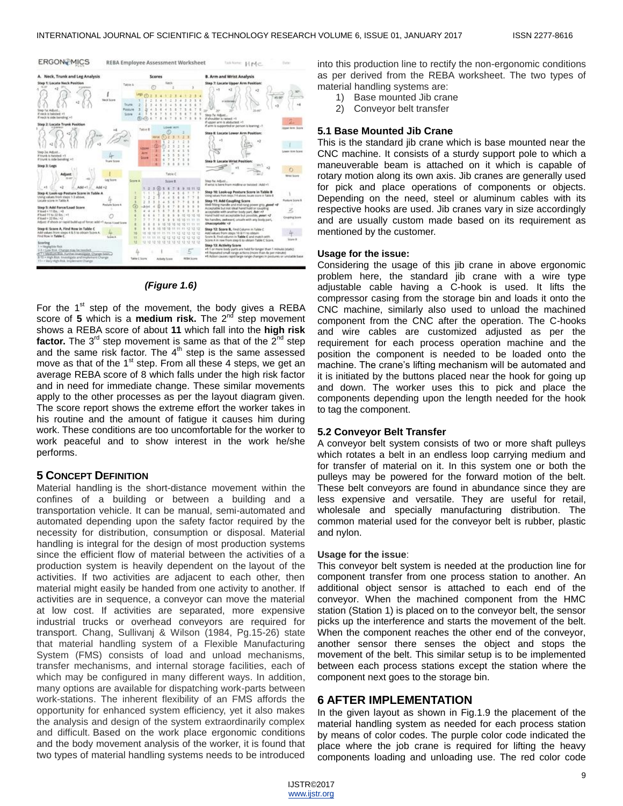

## *(Figure 1.6)*

For the  $1<sup>st</sup>$  step of the movement, the body gives a REBA score of 5 which is a **medium risk.** The 2<sup>nd</sup> step movement shows a REBA score of about **11** which fall into the **high risk factor.** The 3<sup>rd</sup> step movement is same as that of the 2<sup>nd</sup> step and the same risk factor. The  $4<sup>th</sup>$  step is the same assessed move as that of the  $1<sup>st</sup>$  step. From all these 4 steps, we get an average REBA score of 8 which falls under the high risk factor and in need for immediate change. These similar movements apply to the other processes as per the layout diagram given. The score report shows the extreme effort the worker takes in his routine and the amount of fatigue it causes him during work. These conditions are too uncomfortable for the worker to work peaceful and to show interest in the work he/she performs.

## **5 CONCEPT DEFINITION**

Material handling is the short-distance movement within the confines of a building or between a building and a transportation vehicle. It can be manual, semi-automated and automated depending upon the safety factor required by the necessity for distribution, consumption or disposal. Material handling is integral for the design of most production systems since the efficient flow of material between the activities of a production system is heavily dependent on the layout of the activities. If two activities are adjacent to each other, then material might easily be handed from one activity to another. If activities are in sequence, a conveyor can move the material at low cost. If activities are separated, more expensive industrial trucks or overhead conveyors are required for transport. Chang, Sullivanj & Wilson (1984, Pg.15-26) state that material handling system of a Flexible Manufacturing System (FMS) consists of load and unload mechanisms, transfer mechanisms, and internal storage facilities, each of which may be configured in many different ways. In addition, many options are available for dispatching work-parts between work-stations. The inherent flexibility of an FMS affords the opportunity for enhanced system efficiency, yet it also makes the analysis and design of the system extraordinarily complex and difficult. Based on the work place ergonomic conditions and the body movement analysis of the worker, it is found that two types of material handling systems needs to be introduced

into this production line to rectify the non-ergonomic conditions as per derived from the REBA worksheet. The two types of material handling systems are:

- 1) Base mounted Jib crane
- 2) Conveyor belt transfer

#### **5.1 Base Mounted Jib Crane**

This is the standard jib crane which is base mounted near the CNC machine. It consists of a sturdy support pole to which a maneuverable beam is attached on it which is capable of rotary motion along its own axis. Jib cranes are generally used for pick and place operations of components or objects. Depending on the need, steel or aluminum cables with its respective hooks are used. Jib cranes vary in size accordingly and are usually custom made based on its requirement as mentioned by the customer.

#### **Usage for the issue:**

Considering the usage of this jib crane in above ergonomic problem here, the standard jib crane with a wire type adjustable cable having a C-hook is used. It lifts the compressor casing from the storage bin and loads it onto the CNC machine, similarly also used to unload the machined component from the CNC after the operation. The C-hooks and wire cables are customized adjusted as per the requirement for each process operation machine and the position the component is needed to be loaded onto the machine. The crane's lifting mechanism will be automated and it is initiated by the buttons placed near the hook for going up and down. The worker uses this to pick and place the components depending upon the length needed for the hook to tag the component.

#### **5.2 Conveyor Belt Transfer**

A conveyor belt system consists of two or more shaft pulleys which rotates a belt in an endless loop carrying medium and for transfer of material on it. In this system one or both the pulleys may be powered for the forward motion of the belt. These belt conveyors are found in abundance since they are less expensive and versatile. They are useful for retail, wholesale and specially manufacturing distribution. The common material used for the conveyor belt is rubber, plastic and nylon.

#### **Usage for the issue**:

This conveyor belt system is needed at the production line for component transfer from one process station to another. An additional object sensor is attached to each end of the conveyor. When the machined component from the HMC station (Station 1) is placed on to the conveyor belt, the sensor picks up the interference and starts the movement of the belt. When the component reaches the other end of the conveyor, another sensor there senses the object and stops the movement of the belt. This similar setup is to be implemented between each process stations except the station where the component next goes to the storage bin.

## **6 AFTER IMPLEMENTATION**

In the given layout as shown in Fig.1.9 the placement of the material handling system as needed for each process station by means of color codes. The purple color code indicated the place where the job crane is required for lifting the heavy components loading and unloading use. The red color code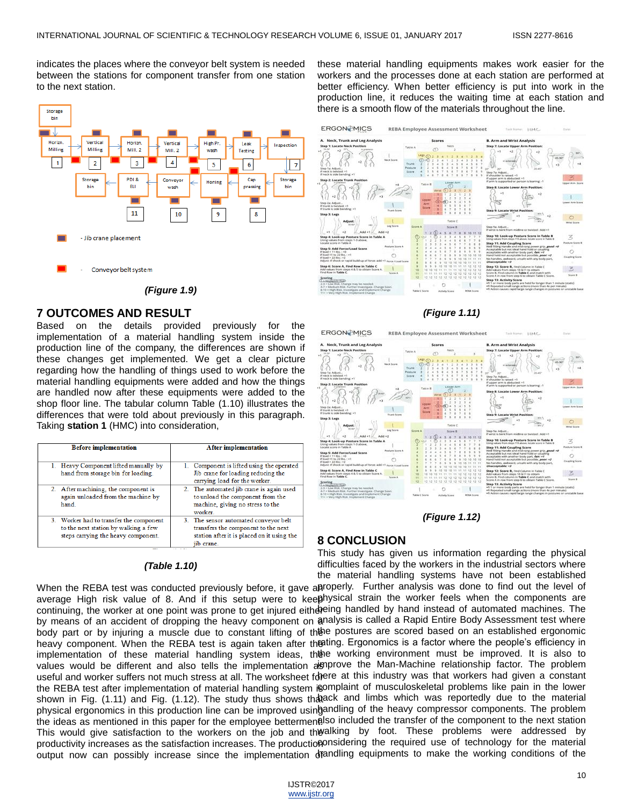indicates the places where the conveyor belt system is needed between the stations for component transfer from one station to the next station.



*(Figure 1.9)*

## **7 OUTCOMES AND RESULT**

Based on the details provided previously for the implementation of a material handling system inside the production line of the company, the differences are shown if these changes get implemented. We get a clear picture regarding how the handling of things used to work before the material handling equipments were added and how the things are handled now after these equipments were added to the shop floor line. The tabular column Table (1.10) illustrates the differences that were told about previously in this paragraph. Taking **station 1** (HMC) into consideration,

| <b>Before implementation</b>                                                                                           | <b>After implementation</b>                                                                                                              |  |
|------------------------------------------------------------------------------------------------------------------------|------------------------------------------------------------------------------------------------------------------------------------------|--|
|                                                                                                                        |                                                                                                                                          |  |
| 1. Heavy Component lifted manually by<br>hand from storage bin for loading.                                            | 1. Component is lifted using the operated<br>Jib crane for loading reducing the<br>carrying load for the worker.                         |  |
| 2. After machining, the component is<br>again unloaded from the machine by<br>hand.                                    | 2. The automated jib crane is again used<br>to unload the component from the<br>machine, giving no stress to the<br>worker.              |  |
| 3. Worker had to transfer the component<br>to the next station by walking a few<br>steps carrying the heavy component. | 3. The sensor automated conveyor belt<br>transfers the component to the next<br>station after it is placed on it using the<br>iib crane. |  |

## *(Table 1.10)*

these material handling equipments makes work easier for the workers and the processes done at each station are performed at better efficiency. When better efficiency is put into work in the production line, it reduces the waiting time at each station and there is a smooth flow of the materials throughout the line.



#### *(Figure 1.11)*



*(Figure 1.12)*

## **8 CONCLUSION**

This study has given us information regarding the physical difficulties faced by the workers in the industrial sectors where the material handling systems have not been established

When the REBA test was conducted previously before, it gave aproperly. Further analysis was done to find out the level of average High risk value of 8. And if this setup were to keephysical strain the worker feels when the components are continuing, the worker at one point was prone to get injured either eing handled by hand instead of automated machines. The by means of an accident of dropping the heavy component on analysis is called a Rapid Entire Body Assessment test where body part or by injuring a muscle due to constant lifting of thee postures are scored based on an established ergonomic heavy component. When the REBA test is again taken after the ting Ergonomics is a factor where the people's efficiency in implementation of these material handling system ideas, thee working environment must be improved. It is also to values would be different and also tells the implementation as prove the Man-Machine relationship factor. The problem useful and worker suffers not much stress at all. The worksheet forere at this industry was that workers had given a constant the REBA test after implementation of material handling system i©mplaint of musculoskeletal problems like pain in the lower shown in Fig. (1.11) and Fig. (1.12). The study thus shows thatack and limbs which was reportedly due to the material physical ergonomics in this production line can be improved usingandling of the heavy compressor components. The problem the ideas as mentioned in this paper for the employee bettermenalso included the transfer of the component to the next station This would give satisfaction to the workers on the job and the alking by foot. These problems were addressed by productivity increases as the satisfaction increases. The productioponsidering the required use of technology for the material output now can possibly increase since the implementation dfandling equipments to make the working conditions of the